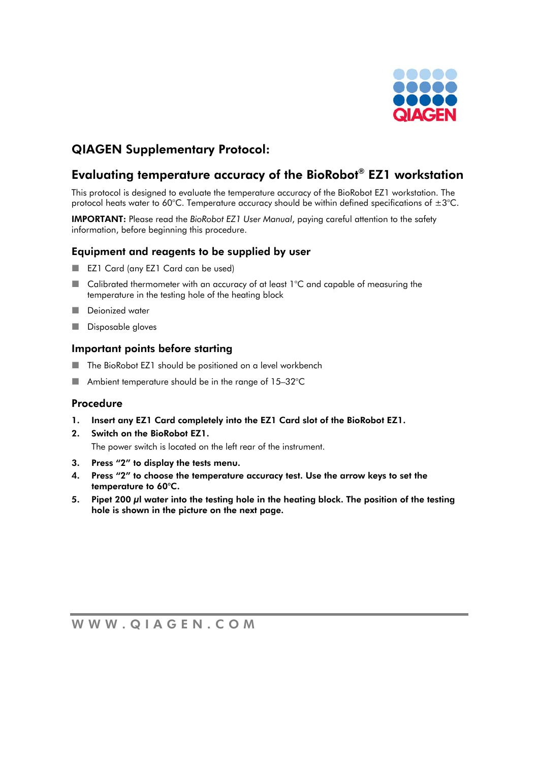

# QIAGEN Supplementary Protocol:

# Evaluating temperature accuracy of the BioRobot® EZ1 workstation

This protocol is designed to evaluate the temperature accuracy of the BioRobot EZ1 workstation. The protocol heats water to 60°C. Temperature accuracy should be within defined specifications of  $\pm 3^{\circ}$ C.

IMPORTANT: Please read the *BioRobot EZ1 User Manual*, paying careful attention to the safety information, before beginning this procedure.

### Equipment and reagents to be supplied by user

- EZ1 Card (any EZ1 Card can be used)
- $\blacksquare$  Calibrated thermometer with an accuracy of at least  $1^{\circ}$ C and capable of measuring the temperature in the testing hole of the heating block
- **Deionized water**
- **Disposable gloves**

#### Important points before starting

- The BioRobot EZ1 should be positioned on a level workbench
- Ambient temperature should be in the range of 15-32°C

#### Procedure

- 1. Insert any EZ1 Card completely into the EZ1 Card slot of the BioRobot EZ1.
- 2. Switch on the BioRobot EZ1. The power switch is located on the left rear of the instrument.
- 3. Press "2" to display the tests menu.
- 4. Press "2" to choose the temperature accuracy test. Use the arrow keys to set the temperature to 60°C.
- 5. Pipet 200 µl water into the testing hole in the heating block. The position of the testing hole is shown in the picture on the next page.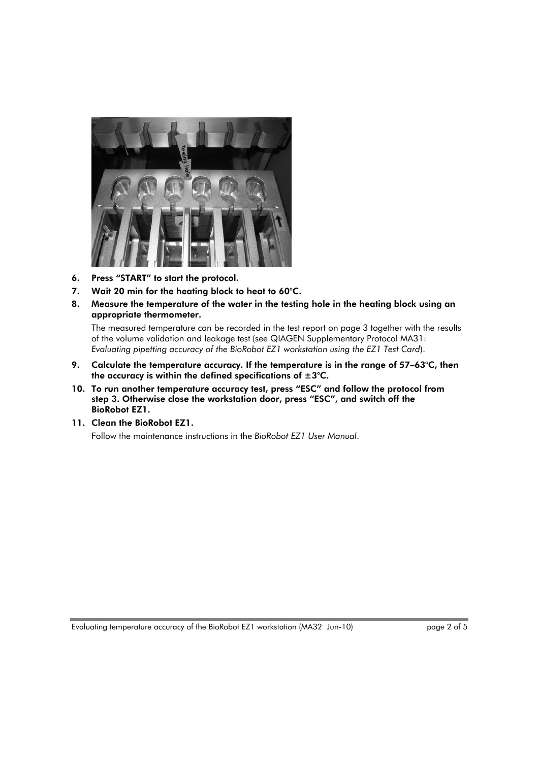

- 6. Press "START" to start the protocol.
- 7. Wait 20 min for the heating block to heat to 60°C.
- 8. Measure the temperature of the water in the testing hole in the heating block using an appropriate thermometer.

The measured temperature can be recorded in the test report on page 3 together with the results of the volume validation and leakage test (see QIAGEN Supplementary Protocol MA31: *Evaluating pipetting accuracy of the BioRobot EZ1 workstation using the EZ1 Test Card*).

- 9. Calculate the temperature accuracy. If the temperature is in the range of 57–63°C, then the accuracy is within the defined specifications of  $\pm 3^{\circ}$ C.
- 10. To run another temperature accuracy test, press "ESC" and follow the protocol from step 3. Otherwise close the workstation door, press "ESC", and switch off the BioRobot EZ1.
- 11. Clean the BioRobot EZ1.

Follow the maintenance instructions in the *BioRobot EZ1 User Manual*.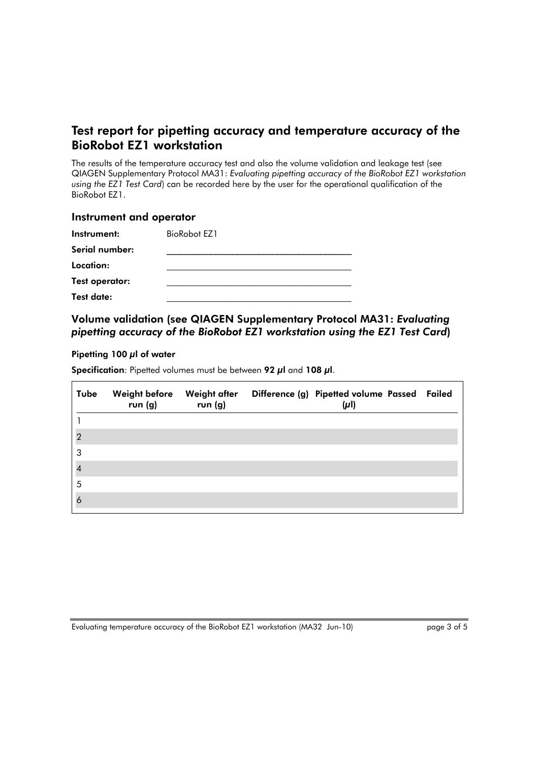## Test report for pipetting accuracy and temperature accuracy of the BioRobot EZ1 workstation

The results of the temperature accuracy test and also the volume validation and leakage test (see QIAGEN Supplementary Protocol MA31: *Evaluating pipetting accuracy of the BioRobot EZ1 workstation using the EZ1 Test Card*) can be recorded here by the user for the operational qualification of the BioRobot EZ1.

#### Instrument and operator

| Instrument:    | BioRobot EZ1 |
|----------------|--------------|
| Serial number: |              |
| Location:      |              |
| Test operator: |              |
| Test date:     |              |

### Volume validation (see QIAGEN Supplementary Protocol MA31: *Evaluating pipetting accuracy of the BioRobot EZ1 workstation using the EZ1 Test Card*)

Pipetting 100 μl of water

 $\blacksquare$ 

Specification: Pipetted volumes must be between 92 µl and 108 µl.

| Tube           | <b>Weight before</b><br>run (g) | run (g) | Weight after Difference (g) Pipetted volume Passed Failed<br>$(\mu I)$ |  |
|----------------|---------------------------------|---------|------------------------------------------------------------------------|--|
|                |                                 |         |                                                                        |  |
| $\overline{2}$ |                                 |         |                                                                        |  |
| 3              |                                 |         |                                                                        |  |
| $\overline{4}$ |                                 |         |                                                                        |  |
| 5              |                                 |         |                                                                        |  |
| 6              |                                 |         |                                                                        |  |
|                |                                 |         |                                                                        |  |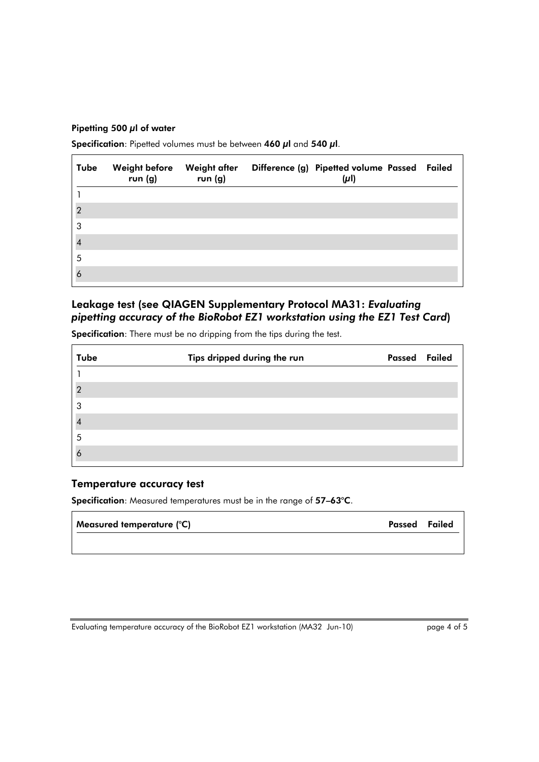#### Pipetting 500 μl of water

Specification: Pipetted volumes must be between 460 μl and 540 μl.

| Tube           | <b>Weight before</b><br>run (g) | run $(g)$ | Weight after Difference (g) Pipetted volume Passed Failed<br>$(\mu I)$ |  |
|----------------|---------------------------------|-----------|------------------------------------------------------------------------|--|
|                |                                 |           |                                                                        |  |
| $\overline{2}$ |                                 |           |                                                                        |  |
| 3              |                                 |           |                                                                        |  |
| $\overline{A}$ |                                 |           |                                                                        |  |
| 5              |                                 |           |                                                                        |  |
| 6              |                                 |           |                                                                        |  |
|                |                                 |           |                                                                        |  |

## Leakage test (see QIAGEN Supplementary Protocol MA31: *Evaluating pipetting accuracy of the BioRobot EZ1 workstation using the EZ1 Test Card*)

Specification: There must be no dripping from the tips during the test.

| Tube           | Tips dripped during the run | <b>Passed Failed</b> |
|----------------|-----------------------------|----------------------|
|                |                             |                      |
| $\overline{2}$ |                             |                      |
| 3              |                             |                      |
| $\overline{A}$ |                             |                      |
| 5              |                             |                      |
| 6              |                             |                      |
|                |                             |                      |

#### Temperature accuracy test

Specification: Measured temperatures must be in the range of 57–63°C.

| Measured temperature $(^\circ \mathsf{C})$ | Passed Failed |  |
|--------------------------------------------|---------------|--|
|                                            |               |  |